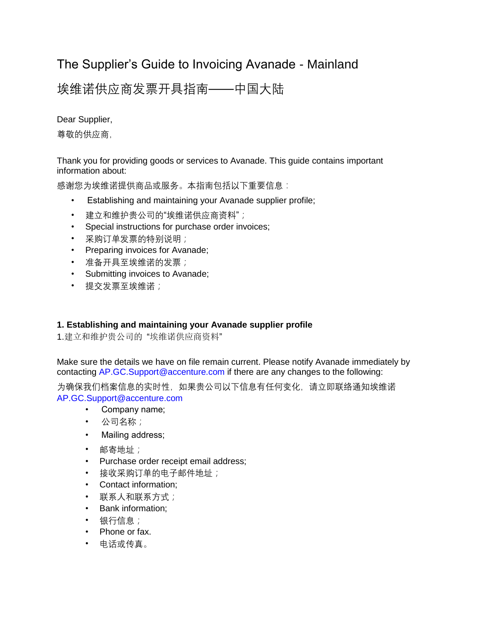# The Supplier's Guide to Invoicing Avanade - Mainland

# 埃维诺供应商发票开具指南——中国大陆

Dear Supplier,

尊敬的供应商,

Thank you for providing goods or services to Avanade. This guide contains important information about:

感谢您为埃维诺提供商品或服务。本指南包括以下重要信息:

- Establishing and maintaining your Avanade supplier profile;
- 建立和维护贵公司的"埃维诺供应商资料";
- Special instructions for purchase order invoices;
- 采购订单发票的特别说明;
- Preparing invoices for Avanade;
- 准备开具至埃维诺的发票;
- Submitting invoices to Avanade;
- 提交发票至埃维诺;

# **1. Establishing and maintaining your Avanade supplier profile**

1.建立和维护贵公司的 "埃维诺供应商资料"

Make sure the details we have on file remain current. Please notify Avanade immediately by contacting AP.GC.Support@accenture.com if there are any changes to the following:

为确保我们档案信息的实时性,如果贵公司以下信息有任何变化,请立即联络通知埃维诺 AP.GC.Support@accenture.com

- Company name;
- 公司名称;
- Mailing address;
- 邮寄地址;
- Purchase order receipt email address;
- 接收采购订单的电子邮件地址;
- Contact information;
- 联系人和联系方式;
- Bank information;
- 银行信息;
- Phone or fax.
- 电话或传真。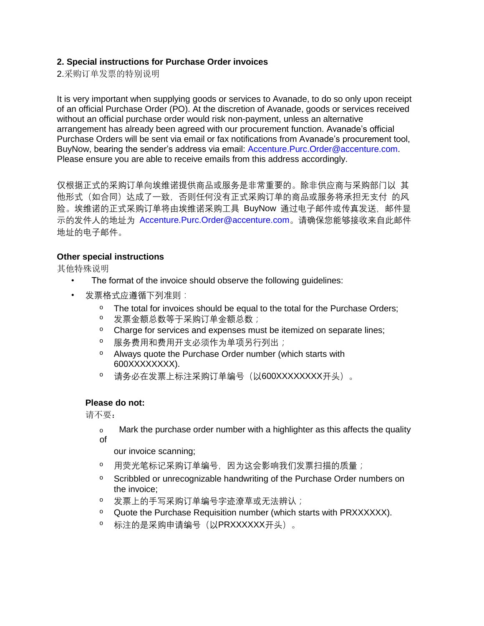### **2. Special instructions for Purchase Order invoices**

2.采购订单发票的特别说明

It is very important when supplying goods or services to Avanade, to do so only upon receipt of an official Purchase Order (PO). At the discretion of Avanade, goods or services received without an official purchase order would risk non-payment, unless an alternative arrangement has already been agreed with our procurement function. Avanade's official Purchase Orders will be sent via email or fax notifications from Avanade's procurement tool, BuyNow, bearing the sender's address via email: Accenture.Purc.Order@accenture.com. Please ensure you are able to receive emails from this address accordingly.

仅根据正式的采购订单向埃维诺提供商品或服务是非常重要的。除非供应商与采购部门以 其 他形式(如合同)达成了一致,否则任何没有正式采购订单的商品或服务将承担无支付 的风 险。埃维诺的正式采购订单将由埃维诺采购工具 BuyNow 通过电子邮件或传真发送,邮件显 示的发件人的地址为 Accenture.Purc.Order@accenture.com。请确保您能够接收来自此邮件 地址的电子邮件。

#### **Other special instructions**

其他特殊说明

- The format of the invoice should observe the following guidelines:
- 发票格式应遵循下列准则:
	- <sup>o</sup> The total for invoices should be equal to the total for the Purchase Orders;
	- <sup>o</sup>发票金额总数等于采购订单金额总数;
	- o Charge for services and expenses must be itemized on separate lines;
	- 0 服务费用和费用开支必须作为单项另行列出;
	- <sup>o</sup> Always quote the Purchase Order number (which starts with 600XXXXXXXX).
	- <sup>o</sup>请务必在发票上标注采购订单编号(以600XXXXXXXX开头)。

#### **Please do not:**

请不要:

o Mark the purchase order number with a highlighter as this affects the quality of

our invoice scanning;

- <sup>o</sup>用荧光笔标记采购订单编号,因为这会影响我们发票扫描的质量;
- <sup>o</sup> Scribbled or unrecognizable handwriting of the Purchase Order numbers on the invoice;
- <sup>o</sup>发票上的手写采购订单编号字迹潦草或无法辨认;
- o Quote the Purchase Requisition number (which starts with PRXXXXXX).
- o 标注的是采购申请编号(以PRXXXXXX开头)。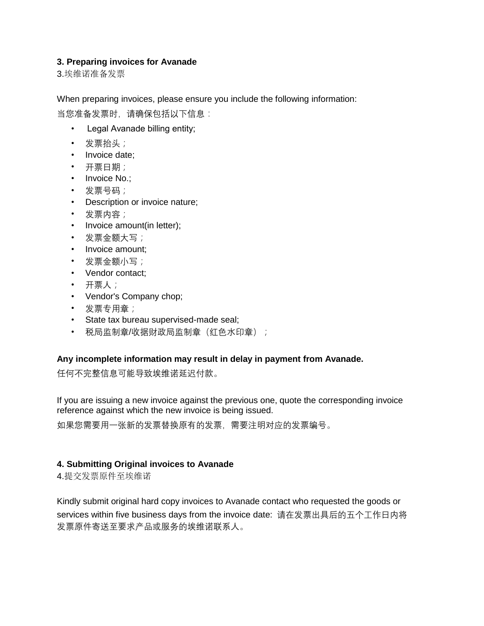### **3. Preparing invoices for Avanade**

3.埃维诺准备发票

When preparing invoices, please ensure you include the following information:

当您准备发票时,请确保包括以下信息:

- Legal Avanade billing entity;
- 发票抬头;
- Invoice date:
- 开票日期;
- Invoice No.;
- 发票号码;
- Description or invoice nature;
- 发票内容;
- Invoice amount(in letter);
- 发票金额大写;
- Invoice amount;
- 发票金额小写;
- Vendor contact;
- 开票人;
- Vendor's Company chop;
- 发票专用章;
- State tax bureau supervised-made seal;
- 税局监制章/收据财政局监制章(红色水印章);

# **Any incomplete information may result in delay in payment from Avanade.**

任何不完整信息可能导致埃维诺延迟付款。

If you are issuing a new invoice against the previous one, quote the corresponding invoice reference against which the new invoice is being issued.

如果您需要用一张新的发票替换原有的发票,需要注明对应的发票编号。

# **4. Submitting Original invoices to Avanade**

4.提交发票原件至埃维诺

Kindly submit original hard copy invoices to Avanade contact who requested the goods or services within five business days from the invoice date: 请在发票出具后的五个工作日内将 发票原件寄送至要求产品或服务的埃维诺联系人。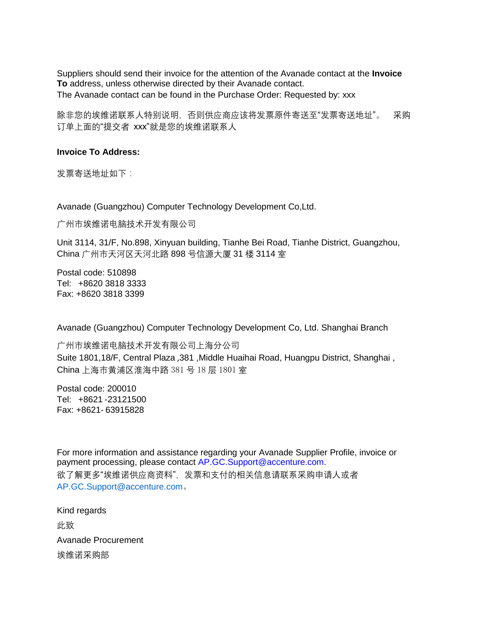Suppliers should send their invoice for the attention of the Avanade contact at the **Invoice To** address, unless otherwise directed by their Avanade contact. The Avanade contact can be found in the Purchase Order: Requested by: xxx

除非您的埃维诺联系人特别说明,否则供应商应该将发票原件寄送至"发票寄送地址"。 采购 订单上面的"提交者 xxx"就是您的埃维诺联系人

#### **Invoice To Address:**

发票寄送地址如下:

Avanade (Guangzhou) Computer Technology Development Co,Ltd.

广州市埃维诺电脑技术开发有限公司

Unit 3114, 31/F, No.898, Xinyuan building, Tianhe Bei Road, Tianhe District, Guangzhou, China 广州市天河区天河北路 898 号信源大厦 31 楼 3114 室

Postal code: 510898 Tel: +8620 3818 3333 Fax: +8620 3818 3399

Avanade (Guangzhou) Computer Technology Development Co, Ltd. Shanghai Branch

广州市埃维诺电脑技术开发有限公司上海分公司 Suite 1801,18/F, Central Plaza ,381 ,Middle Huaihai Road, Huangpu District, Shanghai , China 上海市黄浦区淮海中路 381 号 18 层 1801 室

Postal code: 200010 Tel: +8621 -23121500 Fax: +8621- 63915828

For more information and assistance regarding your Avanade Supplier Profile, invoice or payment processing, please contact AP.GC.Support@accenture.com. 欲了解更多"埃维诺供应商资料",发票和支付的相关信息请联系采购申请人或者 [AP.GC.Support@accenture.com](mailto:AP.GC.Support@accenture.com)。

Kind regards 此致 Avanade Procurement 埃维诺采购部